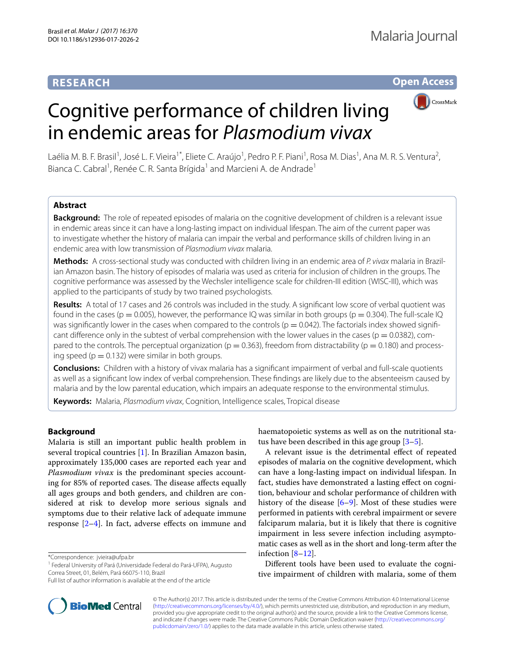# **RESEARCH**

**Open Access**



# Cognitive performance of children living in endemic areas for *Plasmodium vivax*

Laélia M. B. F. Brasil<sup>1</sup>, José L. F. Vieira<sup>1\*</sup>, Eliete C. Araújo<sup>1</sup>, Pedro P. F. Piani<sup>1</sup>, Rosa M. Dias<sup>1</sup>, Ana M. R. S. Ventura<sup>2</sup>, Bianca C. Cabral<sup>1</sup>, Renée C. R. Santa Brígida<sup>1</sup> and Marcieni A. de Andrade<sup>1</sup>

## **Abstract**

**Background:** The role of repeated episodes of malaria on the cognitive development of children is a relevant issue in endemic areas since it can have a long-lasting impact on individual lifespan. The aim of the current paper was to investigate whether the history of malaria can impair the verbal and performance skills of children living in an endemic area with low transmission of *Plasmodium vivax* malaria.

**Methods:** A cross-sectional study was conducted with children living in an endemic area of *P. vivax* malaria in Brazilian Amazon basin. The history of episodes of malaria was used as criteria for inclusion of children in the groups. The cognitive performance was assessed by the Wechsler intelligence scale for children-III edition (WISC-III), which was applied to the participants of study by two trained psychologists.

**Results:** A total of 17 cases and 26 controls was included in the study. A signifcant low score of verbal quotient was found in the cases (p = 0.005), however, the performance IQ was similar in both groups (p = 0.304). The full-scale IQ was significantly lower in the cases when compared to the controls ( $p = 0.042$ ). The factorials index showed significant difference only in the subtest of verbal comprehension with the lower values in the cases ( $p = 0.0382$ ), compared to the controls. The perceptual organization ( $p = 0.363$ ), freedom from distractability ( $p = 0.180$ ) and processing speed ( $p = 0.132$ ) were similar in both groups.

**Conclusions:** Children with a history of vivax malaria has a signifcant impairment of verbal and full-scale quotients as well as a signifcant low index of verbal comprehension. These fndings are likely due to the absenteeism caused by malaria and by the low parental education, which impairs an adequate response to the environmental stimulus.

**Keywords:** Malaria, *Plasmodium vivax*, Cognition, Intelligence scales, Tropical disease

## **Background**

Malaria is still an important public health problem in several tropical countries [[1\]](#page-5-0). In Brazilian Amazon basin, approximately 135,000 cases are reported each year and *Plasmodium vivax* is the predominant species accounting for 85% of reported cases. The disease affects equally all ages groups and both genders, and children are considered at risk to develop more serious signals and symptoms due to their relative lack of adequate immune response  $[2-4]$  $[2-4]$ . In fact, adverse effects on immune and

\*Correspondence: jvieira@ufpa.br

<sup>1</sup> Federal University of Pará (Universidade Federal do Pará-UFPA), Augusto Correa Street, 01, Belém, Pará 66075-110, Brazil



A relevant issue is the detrimental efect of repeated episodes of malaria on the cognitive development, which can have a long-lasting impact on individual lifespan. In fact, studies have demonstrated a lasting efect on cognition, behaviour and scholar performance of children with history of the disease [\[6–](#page-5-5)[9\]](#page-5-6). Most of these studies were performed in patients with cerebral impairment or severe falciparum malaria, but it is likely that there is cognitive impairment in less severe infection including asymptomatic cases as well as in the short and long-term after the infection [[8–](#page-5-7)[12](#page-5-8)].

Diferent tools have been used to evaluate the cognitive impairment of children with malaria, some of them



© The Author(s) 2017. This article is distributed under the terms of the Creative Commons Attribution 4.0 International License [\(http://creativecommons.org/licenses/by/4.0/\)](http://creativecommons.org/licenses/by/4.0/), which permits unrestricted use, distribution, and reproduction in any medium, provided you give appropriate credit to the original author(s) and the source, provide a link to the Creative Commons license, and indicate if changes were made. The Creative Commons Public Domain Dedication waiver ([http://creativecommons.org/](http://creativecommons.org/publicdomain/zero/1.0/) [publicdomain/zero/1.0/](http://creativecommons.org/publicdomain/zero/1.0/)) applies to the data made available in this article, unless otherwise stated.

Full list of author information is available at the end of the article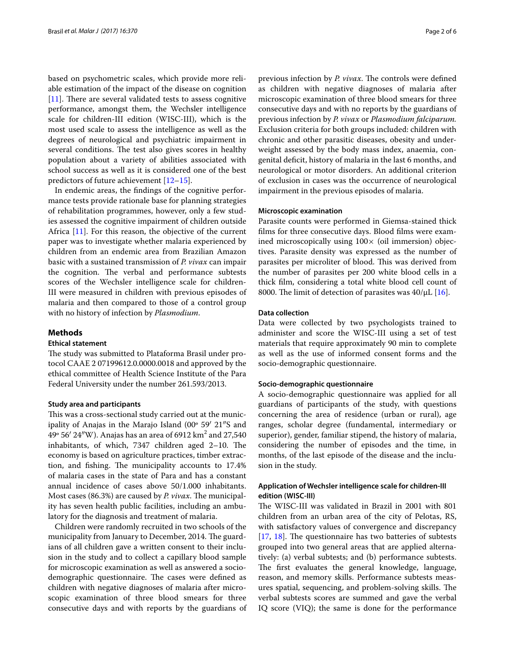based on psychometric scales, which provide more reliable estimation of the impact of the disease on cognition  $[11]$  $[11]$ . There are several validated tests to assess cognitive performance, amongst them, the Wechsler intelligence scale for children-III edition (WISC-III), which is the most used scale to assess the intelligence as well as the degrees of neurological and psychiatric impairment in several conditions. The test also gives scores in healthy population about a variety of abilities associated with school success as well as it is considered one of the best predictors of future achievement [[12–](#page-5-8)[15\]](#page-5-10).

In endemic areas, the fndings of the cognitive performance tests provide rationale base for planning strategies of rehabilitation programmes, however, only a few studies assessed the cognitive impairment of children outside Africa [[11\]](#page-5-9). For this reason, the objective of the current paper was to investigate whether malaria experienced by children from an endemic area from Brazilian Amazon basic with a sustained transmission of *P. vivax* can impair the cognition. The verbal and performance subtests scores of the Wechsler intelligence scale for children-III were measured in children with previous episodes of malaria and then compared to those of a control group with no history of infection by *Plasmodium*.

#### **Methods**

## **Ethical statement**

The study was submitted to Plataforma Brasil under protocol CAAE 2 07199612.0.0000.0018 and approved by the ethical committee of Health Science Institute of the Para Federal University under the number 261.593/2013.

#### **Study area and participants**

This was a cross-sectional study carried out at the municipality of Anajas in the Marajo Island (00º 59′ 21″S and 49° 56′ 24″W). Anajas has an area of 6912 km<sup>2</sup> and 27,540 inhabitants, of which,  $7347$  children aged  $2-10$ . The economy is based on agriculture practices, timber extraction, and fishing. The municipality accounts to 17.4% of malaria cases in the state of Para and has a constant annual incidence of cases above 50/1.000 inhabitants. Most cases (86.3%) are caused by *P. vivax*. The municipality has seven health public facilities, including an ambulatory for the diagnosis and treatment of malaria.

Children were randomly recruited in two schools of the municipality from January to December, 2014. The guardians of all children gave a written consent to their inclusion in the study and to collect a capillary blood sample for microscopic examination as well as answered a sociodemographic questionnaire. The cases were defined as children with negative diagnoses of malaria after microscopic examination of three blood smears for three consecutive days and with reports by the guardians of previous infection by *P. vivax*. The controls were defined as children with negative diagnoses of malaria after microscopic examination of three blood smears for three consecutive days and with no reports by the guardians of previous infection by *P. vivax* or *Plasmodium falciparum.* Exclusion criteria for both groups included: children with chronic and other parasitic diseases, obesity and underweight assessed by the body mass index, anaemia, congenital defcit, history of malaria in the last 6 months, and neurological or motor disorders. An additional criterion of exclusion in cases was the occurrence of neurological impairment in the previous episodes of malaria.

#### **Microscopic examination**

Parasite counts were performed in Giemsa-stained thick flms for three consecutive days. Blood flms were examined microscopically using  $100 \times$  (oil immersion) objectives. Parasite density was expressed as the number of parasites per microliter of blood. This was derived from the number of parasites per 200 white blood cells in a thick flm, considering a total white blood cell count of 8000. The limit of detection of parasites was  $40/\mu L$  [[16\]](#page-5-11).

#### **Data collection**

Data were collected by two psychologists trained to administer and score the WISC-III using a set of test materials that require approximately 90 min to complete as well as the use of informed consent forms and the socio-demographic questionnaire.

#### **Socio‑demographic questionnaire**

A socio-demographic questionnaire was applied for all guardians of participants of the study, with questions concerning the area of residence (urban or rural), age ranges, scholar degree (fundamental, intermediary or superior), gender, familiar stipend, the history of malaria, considering the number of episodes and the time, in months, of the last episode of the disease and the inclusion in the study.

## **Application of Wechsler intelligence scale for children‑III edition (WISC‑III)**

The WISC-III was validated in Brazil in 2001 with 801 children from an urban area of the city of Pelotas, RS, with satisfactory values of convergence and discrepancy  $[17, 18]$  $[17, 18]$  $[17, 18]$  $[17, 18]$  $[17, 18]$ . The questionnaire has two batteries of subtests grouped into two general areas that are applied alternatively: (a) verbal subtests; and (b) performance subtests. The first evaluates the general knowledge, language, reason, and memory skills. Performance subtests measures spatial, sequencing, and problem-solving skills. The verbal subtests scores are summed and gave the verbal IQ score (VIQ); the same is done for the performance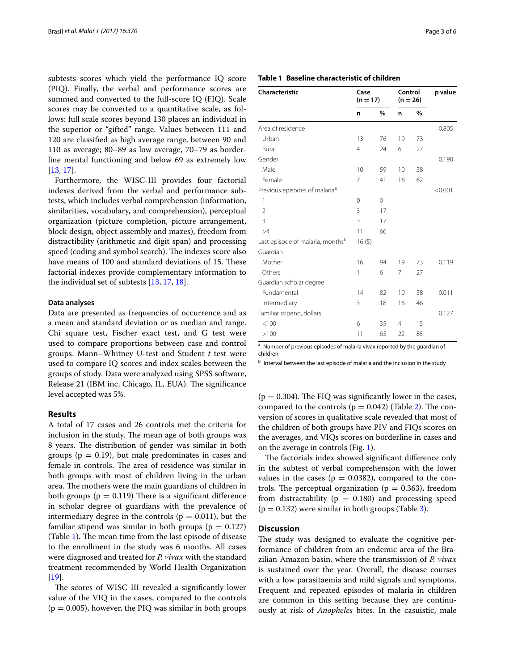subtests scores which yield the performance IQ score (PIQ). Finally, the verbal and performance scores are summed and converted to the full-score IQ (FIQ). Scale scores may be converted to a quantitative scale, as follows: full scale scores beyond 130 places an individual in the superior or "gifted" range. Values between 111 and 120 are classifed as high average range, between 90 and 110 as average; 80–89 as low average, 70–79 as borderline mental functioning and below 69 as extremely low [[13,](#page-5-14) [17](#page-5-12)].

Furthermore, the WISC-III provides four factorial indexes derived from the verbal and performance subtests, which includes verbal comprehension (information, similarities, vocabulary, and comprehension), perceptual organization (picture completion, picture arrangement, block design, object assembly and mazes), freedom from distractibility (arithmetic and digit span) and processing speed (coding and symbol search). The indexes score also have means of 100 and standard deviations of 15. These factorial indexes provide complementary information to the individual set of subtests [\[13,](#page-5-14) [17](#page-5-12), [18\]](#page-5-13).

#### **Data analyses**

Data are presented as frequencies of occurrence and as a mean and standard deviation or as median and range. Chi square test, Fischer exact test, and G test were used to compare proportions between case and control groups. Mann–Whitney U-test and Student *t* test were used to compare IQ scores and index scales between the groups of study. Data were analyzed using SPSS software, Release 21 (IBM inc, Chicago, IL, EUA). The significance level accepted was 5%.

### **Results**

A total of 17 cases and 26 controls met the criteria for inclusion in the study. The mean age of both groups was 8 years. The distribution of gender was similar in both groups ( $p = 0.19$ ), but male predominates in cases and female in controls. The area of residence was similar in both groups with most of children living in the urban area. The mothers were the main guardians of children in both groups ( $p = 0.119$ ) There is a significant difference in scholar degree of guardians with the prevalence of intermediary degree in the controls ( $p = 0.011$ ), but the familiar stipend was similar in both groups ( $p = 0.127$ ) (Table [1\)](#page-2-0). The mean time from the last episode of disease to the enrollment in the study was 6 months. All cases were diagnosed and treated for *P. vivax* with the standard treatment recommended by World Health Organization [[19\]](#page-5-15).

The scores of WISC III revealed a significantly lower value of the VIQ in the cases, compared to the controls  $(p = 0.005)$ , however, the PIQ was similar in both groups

## <span id="page-2-0"></span>**Table 1 Baseline characteristic of children**

| Characteristic                               | Case<br>$(n = 17)$ |    | Control<br>$(n = 26)$ |      | p value |
|----------------------------------------------|--------------------|----|-----------------------|------|---------|
|                                              | n                  | %  | n                     | $\%$ |         |
| Area of residence                            |                    |    |                       |      | 0.805   |
| Urban                                        | 13                 | 76 | 19                    | 73   |         |
| Rural                                        | $\overline{4}$     | 24 | 6                     | 27   |         |
| Gender                                       |                    |    |                       |      | 0.190   |
| Male                                         | 10                 | 59 | 10                    | 38   |         |
| Female                                       | 7                  | 41 | 16                    | 62   |         |
| Previous episodes of malaria <sup>a</sup>    |                    |    |                       |      | < 0.001 |
| 1                                            | 0                  | 0  |                       |      |         |
| $\overline{2}$                               | 3                  | 17 |                       |      |         |
| $\overline{3}$                               | 3                  | 17 |                       |      |         |
| >4                                           | 11                 | 66 |                       |      |         |
| Last episode of malaria, months <sup>b</sup> | 16(5)              |    |                       |      |         |
| Guardian                                     |                    |    |                       |      |         |
| Mother                                       | 16                 | 94 | 19                    | 73   | 0.119   |
| Others                                       | 1                  | 6  | 7                     | 27   |         |
| Guardian scholar degree                      |                    |    |                       |      |         |
| Fundamental                                  | 14                 | 82 | 10                    | 38   | 0.011   |
| Intermediary                                 | 3                  | 18 | 16                    | 46   |         |
| Familiar stipend, dollars                    |                    |    |                       |      | 0.127   |
| < 100                                        | 6                  | 35 | $\overline{4}$        | 15   |         |
| >100                                         | 11                 | 65 | 22                    | 85   |         |

<sup>a</sup> Number of previous episodes of malaria vivax reported by the guardian of children

 $b$  Interval between the last episode of malaria and the inclusion in the study

 $(p = 0.304)$ . The FIQ was significantly lower in the cases, compared to the controls ( $p = 0.042$ ) (Table [2\)](#page-3-0). The conversion of scores in qualitative scale revealed that most of the children of both groups have PIV and FIQs scores on the averages, and VIQs scores on borderline in cases and on the average in controls (Fig. [1](#page-3-1)).

The factorials index showed significant difference only in the subtest of verbal comprehension with the lower values in the cases ( $p = 0.0382$ ), compared to the controls. The perceptual organization ( $p = 0.363$ ), freedom from distractability ( $p = 0.180$ ) and processing speed  $(p = 0.132)$  were similar in both groups (Table [3](#page-4-0)).

## **Discussion**

The study was designed to evaluate the cognitive performance of children from an endemic area of the Brazilian Amazon basin, where the transmission of *P. vivax* is sustained over the year. Overall, the disease courses with a low parasitaemia and mild signals and symptoms. Frequent and repeated episodes of malaria in children are common in this setting because they are continuously at risk of *Anopheles* bites. In the casuistic, male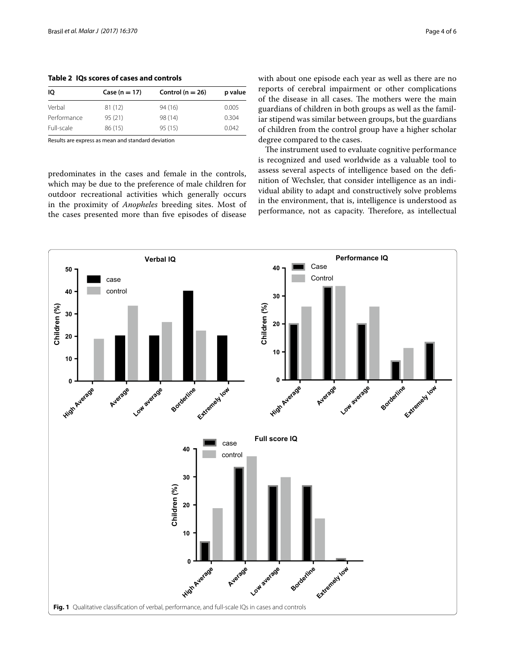| 10          | $Case (n = 17)$ | Control ( $n = 26$ ) | p value |
|-------------|-----------------|----------------------|---------|
| Verbal      | 81(12)          | 94(16)               | 0.005   |
| Performance | 95(21)          | 98 (14)              | 0.304   |
| Full-scale  | 86 (15)         | 95(15)               | 0.042   |

Results are express as mean and standard deviation

<span id="page-3-0"></span>**Table 2 IQs scores of cases and controls**

predominates in the cases and female in the controls, which may be due to the preference of male children for outdoor recreational activities which generally occurs in the proximity of *Anopheles* breeding sites. Most of the cases presented more than fve episodes of disease with about one episode each year as well as there are no reports of cerebral impairment or other complications of the disease in all cases. The mothers were the main guardians of children in both groups as well as the familiar stipend was similar between groups, but the guardians of children from the control group have a higher scholar degree compared to the cases.

The instrument used to evaluate cognitive performance is recognized and used worldwide as a valuable tool to assess several aspects of intelligence based on the defnition of Wechsler, that consider intelligence as an individual ability to adapt and constructively solve problems in the environment, that is, intelligence is understood as performance, not as capacity. Therefore, as intellectual

<span id="page-3-1"></span>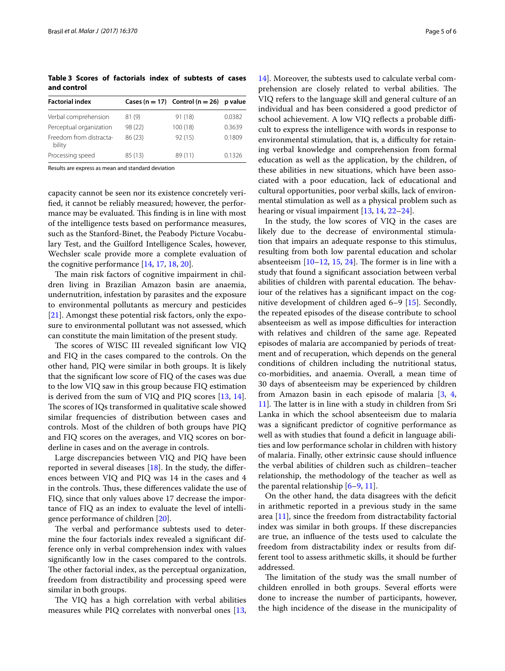<span id="page-4-0"></span>**Table 3 Scores of factorials index of subtests of cases and control**

| <b>Factorial index</b>            |         | Cases ( $n = 17$ ) Control ( $n = 26$ ) | p value |
|-----------------------------------|---------|-----------------------------------------|---------|
| Verbal comprehension              | 81(9)   | 91 (18)                                 | 0.0382  |
| Perceptual organization           | 98 (22) | 100(18)                                 | 0.3639  |
| Freedom from distracta-<br>bility | 86 (23) | 92(15)                                  | 0.1809  |
| Processing speed                  | 85(13)  | 89 (11)                                 | 0.1326  |

Results are express as mean and standard deviation

capacity cannot be seen nor its existence concretely verifed, it cannot be reliably measured; however, the performance may be evaluated. This finding is in line with most of the intelligence tests based on performance measures, such as the Stanford-Binet, the Peabody Picture Vocabulary Test, and the Guilford Intelligence Scales, however, Wechsler scale provide more a complete evaluation of the cognitive performance [[14,](#page-5-16) [17,](#page-5-12) [18](#page-5-13), [20\]](#page-5-17).

The main risk factors of cognitive impairment in children living in Brazilian Amazon basin are anaemia, undernutrition, infestation by parasites and the exposure to environmental pollutants as mercury and pesticides [[21\]](#page-5-18). Amongst these potential risk factors, only the exposure to environmental pollutant was not assessed, which can constitute the main limitation of the present study.

The scores of WISC III revealed significant low VIQ and FIQ in the cases compared to the controls. On the other hand, PIQ were similar in both groups. It is likely that the signifcant low score of FIQ of the cases was due to the low VIQ saw in this group because FIQ estimation is derived from the sum of VIQ and PIQ scores [\[13](#page-5-14), [14](#page-5-16)]. The scores of IQs transformed in qualitative scale showed similar frequencies of distribution between cases and controls. Most of the children of both groups have PIQ and FIQ scores on the averages, and VIQ scores on borderline in cases and on the average in controls.

Large discrepancies between VIQ and PIQ have been reported in several diseases [[18\]](#page-5-13). In the study, the diferences between VIQ and PIQ was 14 in the cases and 4 in the controls. Thus, these differences validate the use of FIQ, since that only values above 17 decrease the importance of FIQ as an index to evaluate the level of intelligence performance of children [[20\]](#page-5-17).

The verbal and performance subtests used to determine the four factorials index revealed a signifcant difference only in verbal comprehension index with values signifcantly low in the cases compared to the controls. The other factorial index, as the perceptual organization, freedom from distractibility and processing speed were similar in both groups.

The VIQ has a high correlation with verbal abilities measures while PIQ correlates with nonverbal ones [\[13](#page-5-14),

[14\]](#page-5-16). Moreover, the subtests used to calculate verbal comprehension are closely related to verbal abilities. The VIQ refers to the language skill and general culture of an individual and has been considered a good predictor of school achievement. A low VIQ reflects a probable difficult to express the intelligence with words in response to environmental stimulation, that is, a difficulty for retaining verbal knowledge and comprehension from formal education as well as the application, by the children, of these abilities in new situations, which have been associated with a poor education, lack of educational and cultural opportunities, poor verbal skills, lack of environmental stimulation as well as a physical problem such as hearing or visual impairment [[13,](#page-5-14) [14](#page-5-16), [22](#page-5-19)[–24](#page-5-20)].

In the study, the low scores of VIQ in the cases are likely due to the decrease of environmental stimulation that impairs an adequate response to this stimulus, resulting from both low parental education and scholar absenteeism  $[10-12, 15, 24]$  $[10-12, 15, 24]$  $[10-12, 15, 24]$  $[10-12, 15, 24]$  $[10-12, 15, 24]$  $[10-12, 15, 24]$ . The former is in line with a study that found a signifcant association between verbal abilities of children with parental education. The behaviour of the relatives has a signifcant impact on the cognitive development of children aged 6–9 [\[15](#page-5-10)]. Secondly, the repeated episodes of the disease contribute to school absenteeism as well as impose difficulties for interaction with relatives and children of the same age. Repeated episodes of malaria are accompanied by periods of treatment and of recuperation, which depends on the general conditions of children including the nutritional status, co-morbidities, and anaemia. Overall, a mean time of 30 days of absenteeism may be experienced by children from Amazon basin in each episode of malaria [[3](#page-5-3), [4](#page-5-2), 11. The latter is in line with a study in children from Sri Lanka in which the school absenteeism due to malaria was a signifcant predictor of cognitive performance as well as with studies that found a deficit in language abilities and low performance scholar in children with history of malaria. Finally, other extrinsic cause should infuence the verbal abilities of children such as children–teacher relationship, the methodology of the teacher as well as the parental relationship [\[6](#page-5-5)–[9,](#page-5-6) [11](#page-5-9)].

On the other hand, the data disagrees with the deficit in arithmetic reported in a previous study in the same area [[11\]](#page-5-9), since the freedom from distractability factorial index was similar in both groups. If these discrepancies are true, an infuence of the tests used to calculate the freedom from distractability index or results from different tool to assess arithmetic skills, it should be further addressed.

The limitation of the study was the small number of children enrolled in both groups. Several eforts were done to increase the number of participants, however, the high incidence of the disease in the municipality of